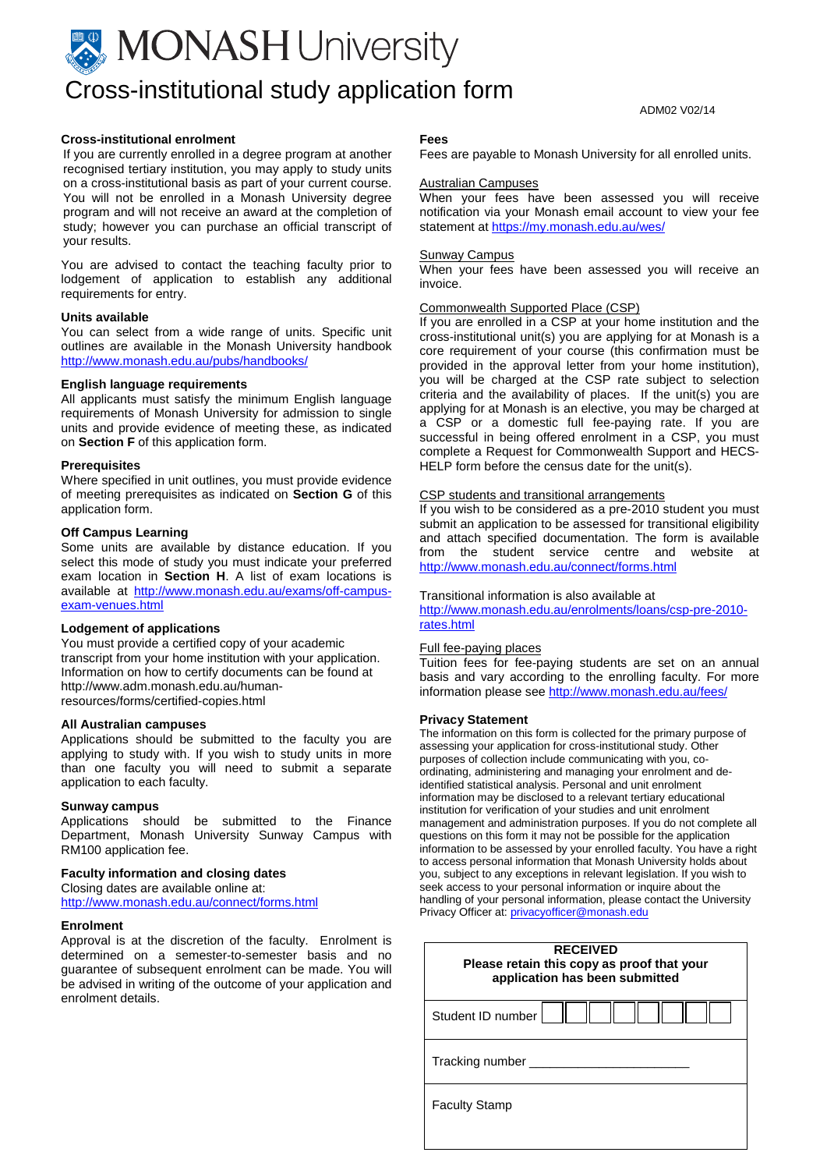# **MONASH** University Cross-institutional study application form

#### ADM02 V02/14

#### **Cross-institutional enrolment**

If you are currently enrolled in a degree program at another recognised tertiary institution, you may apply to study units on a cross-institutional basis as part of your current course. You will not be enrolled in a Monash University degree program and will not receive an award at the completion of study; however you can purchase an official transcript of your results.

You are advised to contact the teaching faculty prior to lodgement of application to establish any additional requirements for entry.

#### **Units available**

You can select from a wide range of units. Specific unit outlines are available in the Monash University handbook <http://www.monash.edu.au/pubs/handbooks/>

#### **English language requirements**

All applicants must satisfy the minimum English language requirements of Monash University for admission to single units and provide evidence of meeting these, as indicated on **Section F** of this application form.

#### **Prerequisites**

Where specified in unit outlines, you must provide evidence of meeting prerequisites as indicated on **Section G** of this application form.

#### **Off Campus Learning**

Some units are available by distance education. If you select this mode of study you must indicate your preferred exam location in **Section H**. A list of exam locations is available at [http://www.monash.edu.au/exams/off-campus](http://www.monash.edu.au/exams/off-campus-exam-venues.html)[exam-venues.html](http://www.monash.edu.au/exams/off-campus-exam-venues.html)

#### **Lodgement of applications**

You must provide a certified copy of your academic transcript from your home institution with your application. Information on how to certify documents can be found at http://www.adm.monash.edu.au/humanresources/forms/certified-copies.html

#### **All Australian campuses**

Applications should be submitted to the faculty you are applying to study with. If you wish to study units in more than one faculty you will need to submit a separate application to each faculty.

#### **Sunway campus**

Applications should be submitted to the Finance Department, Monash University Sunway Campus with RM100 application fee.

#### **Faculty information and closing dates**

Closing dates are available online at: <http://www.monash.edu.au/connect/forms.html>

#### **Enrolment**

Approval is at the discretion of the faculty. Enrolment is determined on a semester-to-semester basis and no guarantee of subsequent enrolment can be made. You will be advised in writing of the outcome of your application and enrolment details.

#### **Fees**

Fees are payable to Monash University for all enrolled units.

#### Australian Campuses

When your fees have been assessed you will receive notification via your Monash email account to view your fee statement at<https://my.monash.edu.au/wes/>

#### Sunway Campus

When your fees have been assessed you will receive an invoice.

#### Commonwealth Supported Place (CSP)

If you are enrolled in a CSP at your home institution and the cross-institutional unit(s) you are applying for at Monash is a core requirement of your course (this confirmation must be provided in the approval letter from your home institution), you will be charged at the CSP rate subject to selection criteria and the availability of places. If the unit(s) you are applying for at Monash is an elective, you may be charged at a CSP or a domestic full fee-paying rate. If you are successful in being offered enrolment in a CSP, you must complete a Request for Commonwealth Support and HECS-HELP form before the census date for the unit(s).

#### CSP students and transitional arrangements

If you wish to be considered as a pre-2010 student you must submit an application to be assessed for transitional eligibility and attach specified documentation. The form is available from the student service centre and website at <http://www.monash.edu.au/connect/forms.html>

#### Transitional information is also available at

[http://www.monash.edu.au/enrolments/loans/csp-pre-2010](http://www.monash.edu.au/enrolments/loans/csp-pre-2010-rates.html) [rates.html](http://www.monash.edu.au/enrolments/loans/csp-pre-2010-rates.html)

### Full fee-paying places

Tuition fees for fee-paying students are set on an annual basis and vary according to the enrolling faculty. For more information please see<http://www.monash.edu.au/fees/>

#### **Privacy Statement**

The information on this form is collected for the primary purpose of assessing your application for cross-institutional study. Other purposes of collection include communicating with you, coordinating, administering and managing your enrolment and deidentified statistical analysis. Personal and unit enrolment information may be disclosed to a relevant tertiary educational institution for verification of your studies and unit enrolment management and administration purposes. If you do not complete all questions on this form it may not be possible for the application information to be assessed by your enrolled faculty. You have a right to access personal information that Monash University holds about you, subject to any exceptions in relevant legislation. If you wish to seek access to your personal information or inquire about the handling of your personal information, please contact the University Privacy Officer at[: privacyofficer@monash.edu](mailto:privacyofficer@monash.edu)

| <b>RECEIVED</b><br>Please retain this copy as proof that your<br>application has been submitted |  |  |  |  |
|-------------------------------------------------------------------------------------------------|--|--|--|--|
| Student ID number                                                                               |  |  |  |  |
| Tracking number                                                                                 |  |  |  |  |
| <b>Faculty Stamp</b>                                                                            |  |  |  |  |
|                                                                                                 |  |  |  |  |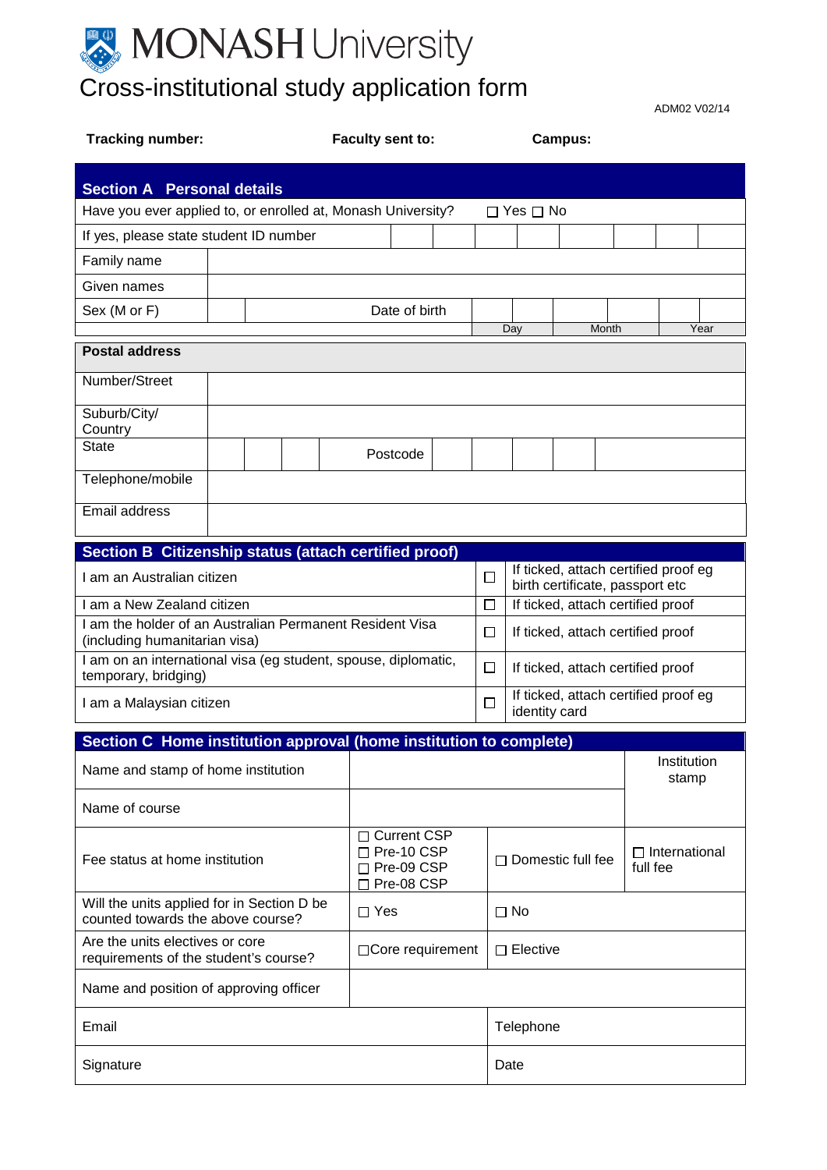

ADM02 V02/14

| <b>Tracking number:</b>                                                                   |  | Faculty sent to: |                                                                       | Campus:                                                    |                                             |                          |                                      |       |                                  |             |      |
|-------------------------------------------------------------------------------------------|--|------------------|-----------------------------------------------------------------------|------------------------------------------------------------|---------------------------------------------|--------------------------|--------------------------------------|-------|----------------------------------|-------------|------|
| <b>Section A Personal details</b>                                                         |  |                  |                                                                       |                                                            |                                             |                          |                                      |       |                                  |             |      |
| Have you ever applied to, or enrolled at, Monash University?<br>$\Box$ Yes $\Box$ No      |  |                  |                                                                       |                                                            |                                             |                          |                                      |       |                                  |             |      |
| If yes, please state student ID number                                                    |  |                  |                                                                       |                                                            |                                             |                          |                                      |       |                                  |             |      |
| Family name                                                                               |  |                  |                                                                       |                                                            |                                             |                          |                                      |       |                                  |             |      |
| Given names                                                                               |  |                  |                                                                       |                                                            |                                             |                          |                                      |       |                                  |             |      |
| Sex (M or F)                                                                              |  |                  |                                                                       | Date of birth                                              |                                             |                          |                                      |       |                                  |             |      |
|                                                                                           |  |                  |                                                                       |                                                            |                                             |                          | Day                                  | Month |                                  |             | Year |
| <b>Postal address</b>                                                                     |  |                  |                                                                       |                                                            |                                             |                          |                                      |       |                                  |             |      |
| Number/Street                                                                             |  |                  |                                                                       |                                                            |                                             |                          |                                      |       |                                  |             |      |
| Suburb/City/                                                                              |  |                  |                                                                       |                                                            |                                             |                          |                                      |       |                                  |             |      |
| Country<br><b>State</b>                                                                   |  |                  |                                                                       |                                                            |                                             |                          |                                      |       |                                  |             |      |
|                                                                                           |  |                  |                                                                       | Postcode                                                   |                                             |                          |                                      |       |                                  |             |      |
| Telephone/mobile                                                                          |  |                  |                                                                       |                                                            |                                             |                          |                                      |       |                                  |             |      |
| Email address                                                                             |  |                  |                                                                       |                                                            |                                             |                          |                                      |       |                                  |             |      |
| Section B Citizenship status (attach certified proof)                                     |  |                  |                                                                       |                                                            |                                             |                          |                                      |       |                                  |             |      |
| I am an Australian citizen                                                                |  |                  |                                                                       | $\Box$<br>birth certificate, passport etc                  |                                             |                          | If ticked, attach certified proof eg |       |                                  |             |      |
| I am a New Zealand citizen                                                                |  |                  |                                                                       |                                                            | If ticked, attach certified proof<br>$\Box$ |                          |                                      |       |                                  |             |      |
| I am the holder of an Australian Permanent Resident Visa<br>(including humanitarian visa) |  |                  | □<br>If ticked, attach certified proof                                |                                                            |                                             |                          |                                      |       |                                  |             |      |
| I am on an international visa (eg student, spouse, diplomatic,<br>temporary, bridging)    |  |                  | $\Box$<br>If ticked, attach certified proof                           |                                                            |                                             |                          |                                      |       |                                  |             |      |
| I am a Malaysian citizen                                                                  |  |                  |                                                                       | If ticked, attach certified proof eg<br>□<br>identity card |                                             |                          |                                      |       |                                  |             |      |
| Section C Home institution approval (home institution to complete)                        |  |                  |                                                                       |                                                            |                                             |                          |                                      |       |                                  |             |      |
| Name and stamp of home institution                                                        |  |                  |                                                                       |                                                            |                                             |                          |                                      |       |                                  | Institution |      |
|                                                                                           |  |                  |                                                                       |                                                            |                                             |                          |                                      |       |                                  | stamp       |      |
| Name of course                                                                            |  |                  |                                                                       |                                                            |                                             |                          |                                      |       |                                  |             |      |
| Fee status at home institution                                                            |  |                  | □ Current CSP<br>$\Box$ Pre-10 CSP<br>$\Box$ Pre-09 CSP<br>Pre-08 CSP |                                                            |                                             | $\Box$ Domestic full fee |                                      |       | $\Box$ International<br>full fee |             |      |
| Will the units applied for in Section D be<br>counted towards the above course?           |  |                  | $\Box$ Yes<br>$\Box$ No                                               |                                                            |                                             |                          |                                      |       |                                  |             |      |
| Are the units electives or core<br>requirements of the student's course?                  |  |                  | □ Core requirement<br>$\Box$ Elective                                 |                                                            |                                             |                          |                                      |       |                                  |             |      |
| Name and position of approving officer                                                    |  |                  |                                                                       |                                                            |                                             |                          |                                      |       |                                  |             |      |
| Email                                                                                     |  |                  |                                                                       |                                                            |                                             | Telephone                |                                      |       |                                  |             |      |
| Signature                                                                                 |  |                  |                                                                       |                                                            |                                             | Date                     |                                      |       |                                  |             |      |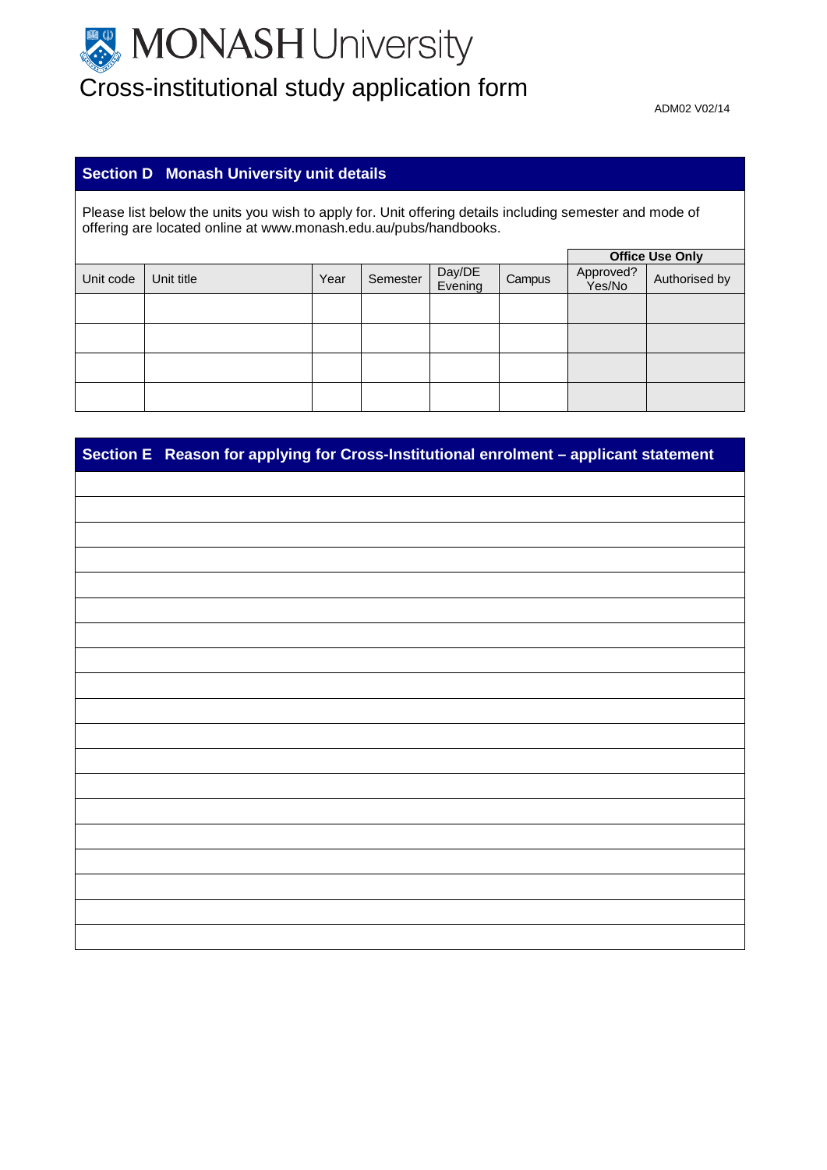# MONASH University Cross-institutional study application form

ADM02 V02/14

# **Section D Monash University unit details**

Please list below the units you wish to apply for. Unit offering details including semester and mode of offering are located online at www.monash.edu.au/pubs/handbooks.

|           |            |      |          |                   |        |                     | <b>Office Use Only</b> |
|-----------|------------|------|----------|-------------------|--------|---------------------|------------------------|
| Unit code | Unit title | Year | Semester | Day/DE<br>Evening | Campus | Approved?<br>Yes/No | Authorised by          |
|           |            |      |          |                   |        |                     |                        |
|           |            |      |          |                   |        |                     |                        |
|           |            |      |          |                   |        |                     |                        |
|           |            |      |          |                   |        |                     |                        |

| Section E Reason for applying for Cross-Institutional enrolment - applicant statement |
|---------------------------------------------------------------------------------------|
|                                                                                       |
|                                                                                       |
|                                                                                       |
|                                                                                       |
|                                                                                       |
|                                                                                       |
|                                                                                       |
|                                                                                       |
|                                                                                       |
|                                                                                       |
|                                                                                       |
|                                                                                       |
|                                                                                       |
|                                                                                       |
|                                                                                       |
|                                                                                       |
|                                                                                       |
|                                                                                       |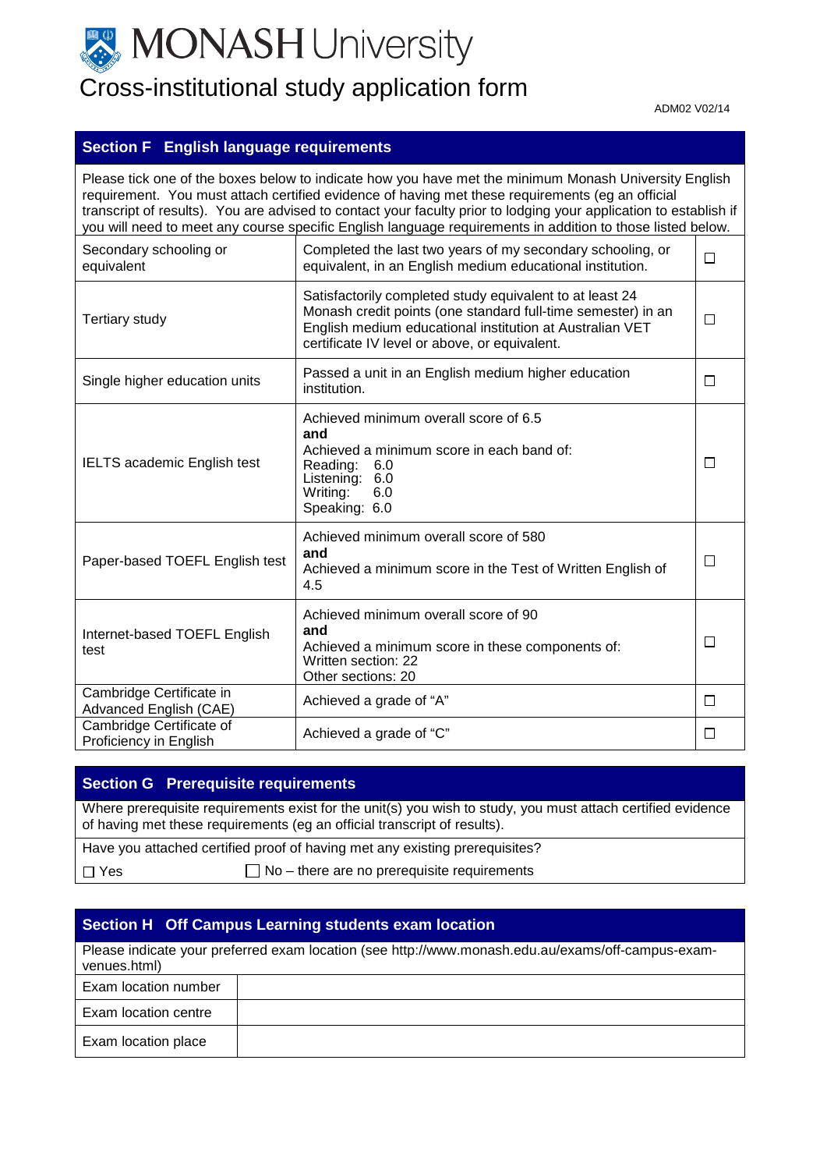

# Cross-institutional study application form

ADM02 V02/14

## **Section F English language requirements**

Please tick one of the boxes below to indicate how you have met the minimum Monash University English requirement. You must attach certified evidence of having met these requirements (eg an official transcript of results). You are advised to contact your faculty prior to lodging your application to establish if you will need to meet any course specific English language requirements in addition to those listed below. Completed the last two years of my secondary schooling, or Secondary schooling or  $\Box$ equivalent, in an English medium educational institution. equivalent Satisfactorily completed study equivalent to at least 24 Monash credit points (one standard full-time semester) in an Tertiary study  $\Box$ English medium educational institution at Australian VET certificate IV level or above, or equivalent. Single higher education units Passed a unit in an English medium higher education  $\Box$ institution. Achieved minimum overall score of 6.5 **and** Achieved a minimum score in each band of: IELTS academic English test Reading: 6.0 □ Listening: 6.0<br>Writing: 6.0  $Writing:$ Speaking: 6.0 Achieved minimum overall score of 580 **and** Paper-based TOEFL English test  $\Box$ Achieved a minimum score in the Test of Written English of 4.5 Achieved minimum overall score of 90 **and** Internet-based TOEFL English  $\Box$ Achieved a minimum score in these components of: test Written section: 22 Other sections: 20 Cambridge Certificate in Advanced English (CAE) Achieved a grade of "A"  $\Box$ Cambridge Certificate of<br>Proficiency in English  $\Box$ Achieved a grade of "C"

### **Section G Prerequisite requirements**

Where prerequisite requirements exist for the unit(s) you wish to study, you must attach certified evidence of having met these requirements (eg an official transcript of results).

|            | Have you attached certified proof of having met any existing prerequisites? |
|------------|-----------------------------------------------------------------------------|
| $\Box$ Yes | $\Box$ No – there are no prerequisite requirements                          |

## **Section H Off Campus Learning students exam location**

| venues.html)         | Please indicate your preferred exam location (see http://www.monash.edu.au/exams/off-campus-exam- |
|----------------------|---------------------------------------------------------------------------------------------------|
| Exam location number |                                                                                                   |
| Exam location centre |                                                                                                   |
| Exam location place  |                                                                                                   |